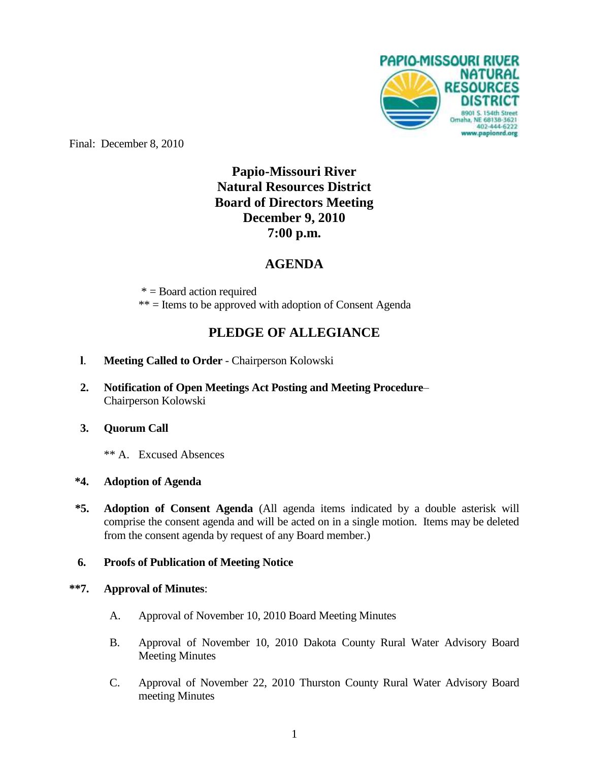

Final: December 8, 2010

# **Papio-Missouri River Natural Resources District Board of Directors Meeting December 9, 2010 7:00 p.m.**

# **AGENDA**

 $* =$ Board action required \*\* = Items to be approved with adoption of Consent Agenda

# **PLEDGE OF ALLEGIANCE**

- **l**. **Meeting Called to Order** Chairperson Kolowski
- **2. Notification of Open Meetings Act Posting and Meeting Procedure** Chairperson Kolowski

## **3. Quorum Call**

\*\* A. Excused Absences

## **\*4. Adoption of Agenda**

**\*5. Adoption of Consent Agenda** (All agenda items indicated by a double asterisk will comprise the consent agenda and will be acted on in a single motion. Items may be deleted from the consent agenda by request of any Board member.)

## **6. Proofs of Publication of Meeting Notice**

#### **\*\*7. Approval of Minutes**:

- A. Approval of November 10, 2010 Board Meeting Minutes
- B. Approval of November 10, 2010 Dakota County Rural Water Advisory Board Meeting Minutes
- C. Approval of November 22, 2010 Thurston County Rural Water Advisory Board meeting Minutes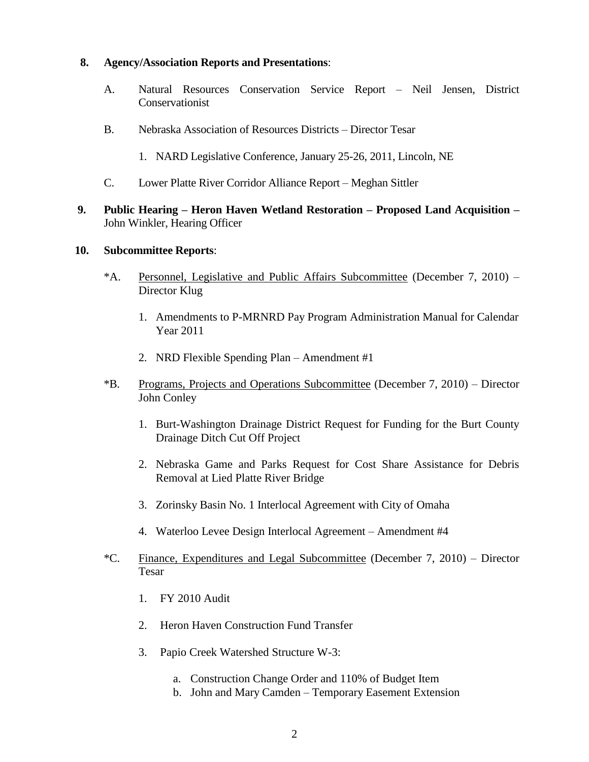#### **8. Agency/Association Reports and Presentations**:

- A. Natural Resources Conservation Service Report Neil Jensen, District Conservationist
- B. Nebraska Association of Resources Districts Director Tesar
	- 1. NARD Legislative Conference, January 25-26, 2011, Lincoln, NE
- C. Lower Platte River Corridor Alliance Report Meghan Sittler
- **9. Public Hearing – Heron Haven Wetland Restoration – Proposed Land Acquisition –** John Winkler, Hearing Officer

#### **10. Subcommittee Reports**:

- \*A. Personnel, Legislative and Public Affairs Subcommittee (December 7, 2010) Director Klug
	- 1. Amendments to P-MRNRD Pay Program Administration Manual for Calendar Year 2011
	- 2. NRD Flexible Spending Plan Amendment #1
- \*B. Programs, Projects and Operations Subcommittee (December 7, 2010) Director John Conley
	- 1. Burt-Washington Drainage District Request for Funding for the Burt County Drainage Ditch Cut Off Project
	- 2. Nebraska Game and Parks Request for Cost Share Assistance for Debris Removal at Lied Platte River Bridge
	- 3. Zorinsky Basin No. 1 Interlocal Agreement with City of Omaha
	- 4. Waterloo Levee Design Interlocal Agreement Amendment #4
- \*C. Finance, Expenditures and Legal Subcommittee (December 7, 2010) Director Tesar
	- 1. FY 2010 Audit
	- 2. Heron Haven Construction Fund Transfer
	- 3. Papio Creek Watershed Structure W-3:
		- a. Construction Change Order and 110% of Budget Item
		- b. John and Mary Camden Temporary Easement Extension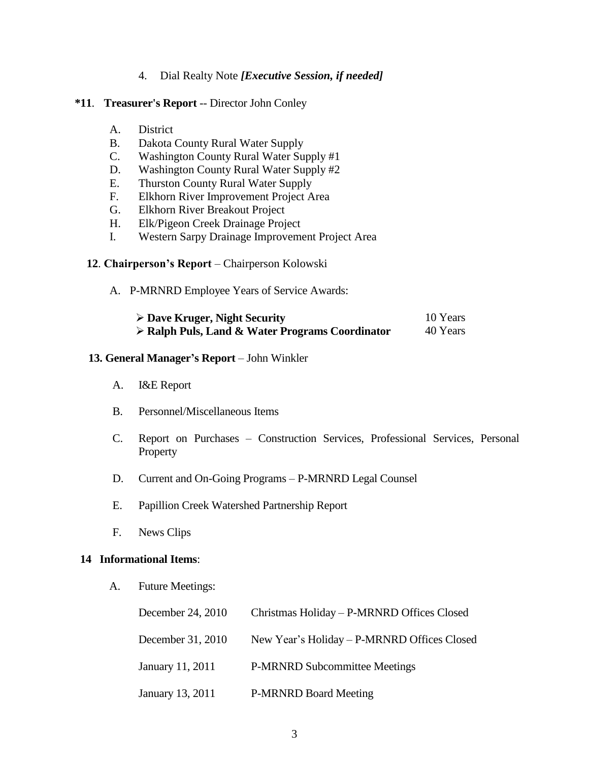#### 4. Dial Realty Note *[Executive Session, if needed]*

#### **\*11**. **Treasurer's Report** -- Director John Conley

- A. District
- B. Dakota County Rural Water Supply
- C. Washington County Rural Water Supply #1
- D. Washington County Rural Water Supply #2
- E. Thurston County Rural Water Supply
- F. Elkhorn River Improvement Project Area
- G. Elkhorn River Breakout Project
- H. Elk/Pigeon Creek Drainage Project
- I. Western Sarpy Drainage Improvement Project Area

#### **12**. **Chairperson's Report** – Chairperson Kolowski

A. P-MRNRD Employee Years of Service Awards:

| $\triangleright$ Dave Kruger, Night Security                   | 10 Years |
|----------------------------------------------------------------|----------|
| $\triangleright$ Ralph Puls, Land & Water Programs Coordinator | 40 Years |

#### **13. General Manager's Report** – John Winkler

- A. I&E Report
- B. Personnel/Miscellaneous Items
- C. Report on Purchases Construction Services, Professional Services, Personal Property
- D. Current and On-Going Programs P-MRNRD Legal Counsel
- E. Papillion Creek Watershed Partnership Report
- F. News Clips

#### **14 Informational Items**:

A. Future Meetings:

| December 24, 2010 | Christmas Holiday – P-MRNRD Offices Closed  |
|-------------------|---------------------------------------------|
| December 31, 2010 | New Year's Holiday – P-MRNRD Offices Closed |
| January 11, 2011  | <b>P-MRNRD Subcommittee Meetings</b>        |
| January 13, 2011  | <b>P-MRNRD Board Meeting</b>                |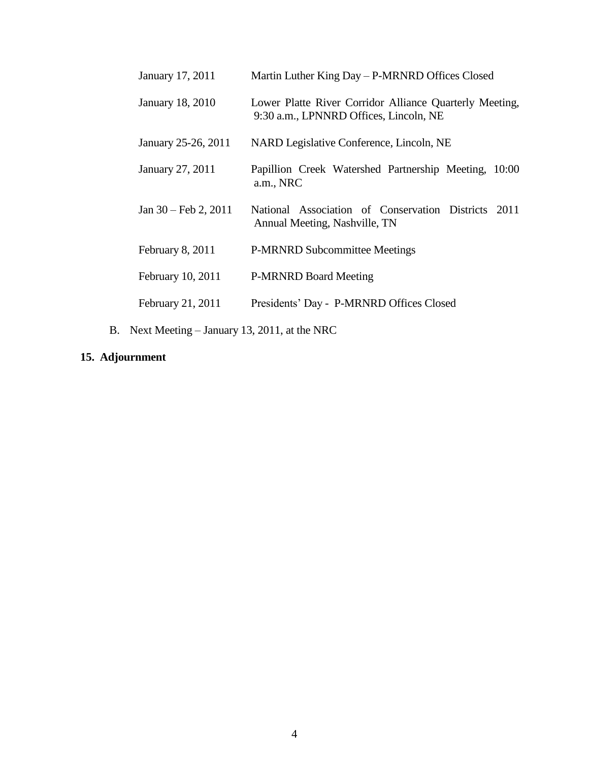| January 17, 2011               | Martin Luther King Day – P-MRNRD Offices Closed                                                   |
|--------------------------------|---------------------------------------------------------------------------------------------------|
| January 18, 2010               | Lower Platte River Corridor Alliance Quarterly Meeting,<br>9:30 a.m., LPNNRD Offices, Lincoln, NE |
| January 25-26, 2011            | NARD Legislative Conference, Lincoln, NE                                                          |
| January 27, 2011               | Papillion Creek Watershed Partnership Meeting, 10:00<br>a.m., NRC                                 |
| Jan $30 - \text{Feb } 2, 2011$ | National Association of Conservation Districts 2011<br>Annual Meeting, Nashville, TN              |
| February 8, 2011               | <b>P-MRNRD Subcommittee Meetings</b>                                                              |
| February 10, 2011              | <b>P-MRNRD Board Meeting</b>                                                                      |
| February 21, 2011              | Presidents' Day - P-MRNRD Offices Closed                                                          |
|                                |                                                                                                   |

B. Next Meeting – January 13, 2011, at the NRC

# **15. Adjournment**